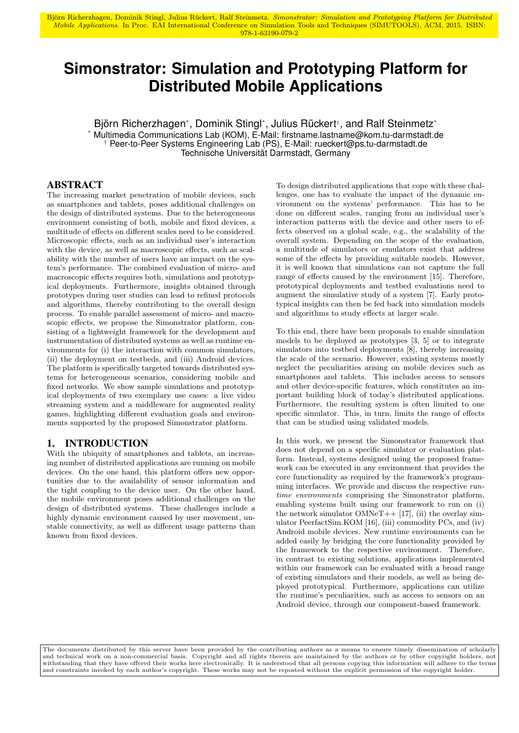Björn Richerzhagen, Dominik Stingl, Julius Rückert, Ralf Steinmetz. Simonstrator: Simulation and Prototyping Platform for Distributed Mobile Applications. In Proc. EAI International Conference on Simulation Tools and Techniques (SIMUTOOLS), ACM, 2015. ISBN: 978-1-63190-079-2

# **Simonstrator: Simulation and Prototyping Platform for Distributed Mobile Applications**

Björn Richerzhagen\* , Dominik Stingl\* , Julius Rückert† , and Ralf Steinmetz\* Multimedia Communications Lab (KOM), E-Mail: firstname.lastname@kom.tu-darmstadt.de † Peer-to-Peer Systems Engineering Lab (PS), E-Mail: rueckert@ps.tu-darmstadt.de Technische Universität Darmstadt, Germany

# ABSTRACT

The increasing market penetration of mobile devices, such as smartphones and tablets, poses additional challenges on the design of distributed systems. Due to the heterogeneous environment consisting of both, mobile and fixed devices, a multitude of effects on different scales need to be considered. Microscopic effects, such as an individual user's interaction with the device, as well as macroscopic effects, such as scalability with the number of users have an impact on the system's performance. The combined evaluation of micro- and macroscopic effects requires both, simulations and prototypical deployments. Furthermore, insights obtained through prototypes during user studies can lead to refined protocols and algorithms, thereby contributing to the overall design process. To enable parallel assessment of micro- and macroscopic effects, we propose the Simonstrator platform, consisting of a lightweight framework for the development and instrumentation of distributed systems as well as runtime environments for (i) the interaction with common simulators, (ii) the deployment on testbeds, and (iii) Android devices. The platform is specifically targeted towards distributed systems for heterogeneous scenarios, considering mobile and fixed networks. We show sample simulations and prototypical deployments of two exemplary use cases: a live video streaming system and a middleware for augmented reality games, highlighting different evaluation goals and environments supported by the proposed Simonstrator platform.

# 1. INTRODUCTION

With the ubiquity of smartphones and tablets, an increasing number of distributed applications are running on mobile devices. On the one hand, this platform offers new opportunities due to the availability of sensor information and the tight coupling to the device user. On the other hand, the mobile environment poses additional challenges on the design of distributed systems. These challenges include a highly dynamic environment caused by user movement, unstable connectivity, as well as different usage patterns than known from fixed devices.

To design distributed applications that cope with these challenges, one has to evaluate the impact of the dynamic environment on the systems' performance. This has to be done on different scales, ranging from an individual user's interaction patterns with the device and other users to effects observed on a global scale, e.g., the scalability of the overall system. Depending on the scope of the evaluation, a multitude of simulators or emulators exist that address some of the effects by providing suitable models. However, it is well known that simulations can not capture the full range of effects caused by the environment [15]. Therefore, prototypical deployments and testbed evaluations need to augment the simulative study of a system [7]. Early prototypical insights can then be fed back into simulation models and algorithms to study effects at larger scale.

To this end, there have been proposals to enable simulation models to be deployed as prototypes [3, 5] or to integrate simulators into testbed deployments [8], thereby increasing the scale of the scenario. However, existing systems mostly neglect the peculiarities arising on mobile devices such as smartphones and tablets. This includes access to sensors and other device-specific features, which constitutes an important building block of today's distributed applications. Furthermore, the resulting system is often limited to one specific simulator. This, in turn, limits the range of effects that can be studied using validated models.

In this work, we present the Simonstrator framework that does not depend on a specific simulator or evaluation platform. Instead, systems designed using the proposed framework can be executed in any environment that provides the core functionality as required by the framework's programming interfaces. We provide and discuss the respective runtime environments comprising the Simonstrator platform, enabling systems built using our framework to run on (i) the network simulator  $OMNeT++$  [17], (ii) the overlay simulator PeerfactSim.KOM [16], (iii) commodity PCs, and (iv) Android mobile devices. New runtime environments can be added easily by bridging the core functionality provided by the framework to the respective environment. Therefore, in contrast to existing solutions, applications implemented within our framework can be evaluated with a broad range of existing simulators and their models, as well as being deployed prototypical. Furthermore, applications can utilize the runtime's peculiarities, such as access to sensors on an Android device, through our component-based framework.

The documents distributed by this server have been provided by the contributing authors as a means to ensure timely dissemination of scholarly and technical work on a non-commercial basis. Copyright and all rights therein are maintained by the authors or by other copyright holders, not withstanding that they have offered their works here electronically. It is understood that all persons copying this information will adhere to the terms and constraints invoked by each author's copyright. These works may not be reposted without the explicit permission of the copyright holder.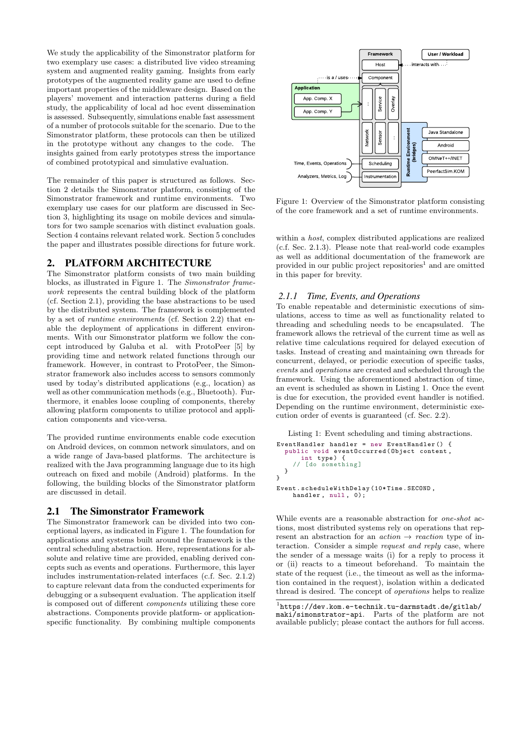We study the applicability of the Simonstrator platform for two exemplary use cases: a distributed live video streaming system and augmented reality gaming. Insights from early prototypes of the augmented reality game are used to define important properties of the middleware design. Based on the players' movement and interaction patterns during a field study, the applicability of local ad hoc event dissemination is assessed. Subsequently, simulations enable fast assessment of a number of protocols suitable for the scenario. Due to the Simonstrator platform, these protocols can then be utilized in the prototype without any changes to the code. The insights gained from early prototypes stress the importance of combined prototypical and simulative evaluation.

The remainder of this paper is structured as follows. Section 2 details the Simonstrator platform, consisting of the Simonstrator framework and runtime environments. Two exemplary use cases for our platform are discussed in Section 3, highlighting its usage on mobile devices and simulators for two sample scenarios with distinct evaluation goals. Section 4 contains relevant related work. Section 5 concludes the paper and illustrates possible directions for future work.

## 2. PLATFORM ARCHITECTURE

The Simonstrator platform consists of two main building blocks, as illustrated in Figure 1. The Simonstrator framework represents the central building block of the platform (cf. Section 2.1), providing the base abstractions to be used by the distributed system. The framework is complemented by a set of runtime environments (cf. Section 2.2) that enable the deployment of applications in different environments. With our Simonstrator platform we follow the concept introduced by Galuba et al. with ProtoPeer [5] by providing time and network related functions through our framework. However, in contrast to ProtoPeer, the Simonstrator framework also includes access to sensors commonly used by today's distributed applications (e.g., location) as well as other communication methods (e.g., Bluetooth). Furthermore, it enables loose coupling of components, thereby allowing platform components to utilize protocol and application components and vice-versa.

The provided runtime environments enable code execution on Android devices, on common network simulators, and on a wide range of Java-based platforms. The architecture is realized with the Java programming language due to its high outreach on fixed and mobile (Android) platforms. In the following, the building blocks of the Simonstrator platform are discussed in detail.

## 2.1 The Simonstrator Framework

The Simonstrator framework can be divided into two conceptional layers, as indicated in Figure 1. The foundation for applications and systems built around the framework is the central scheduling abstraction. Here, representations for absolute and relative time are provided, enabling derived concepts such as events and operations. Furthermore, this layer includes instrumentation-related interfaces (c.f. Sec. 2.1.2) to capture relevant data from the conducted experiments for debugging or a subsequent evaluation. The application itself is composed out of different components utilizing these core abstractions. Components provide platform- or applicationspecific functionality. By combining multiple components



Figure 1: Overview of the Simonstrator platform consisting of the core framework and a set of runtime environments.

within a host, complex distributed applications are realized (c.f. Sec. 2.1.3). Please note that real-world code examples as well as additional documentation of the framework are provided in our public project repositories<sup>1</sup> and are omitted in this paper for brevity.

#### *2.1.1 Time, Events, and Operations*

To enable repeatable and deterministic executions of simulations, access to time as well as functionality related to threading and scheduling needs to be encapsulated. The framework allows the retrieval of the current time as well as relative time calculations required for delayed execution of tasks. Instead of creating and maintaining own threads for concurrent, delayed, or periodic execution of specific tasks, events and operations are created and scheduled through the framework. Using the aforementioned abstraction of time, an event is scheduled as shown in Listing 1. Once the event is due for execution, the provided event handler is notified. Depending on the runtime environment, deterministic execution order of events is guaranteed (cf. Sec. 2.2).

```
Listing 1: Event scheduling and timing abstractions.
```

```
EventHandler handler = new EventHandler () {
  public void eventOccurred ( Object content ,
     int type ) {
// [do something ]
  }
}
Event . scheduleWithDelay (10* Time . SECOND ,
    handler, null, 0);
```
While events are a reasonable abstraction for one-shot actions, most distributed systems rely on operations that represent an abstraction for an *action*  $\rightarrow$  reaction type of interaction. Consider a simple request and reply case, where the sender of a message waits (i) for a reply to process it or (ii) reacts to a timeout beforehand. To maintain the state of the request (i.e., the timeout as well as the information contained in the request), isolation within a dedicated thread is desired. The concept of operations helps to realize

<sup>1</sup> https://dev.kom.e-technik.tu-darmstadt.de/gitlab/ maki/simonstrator-api. Parts of the platform are not available publicly; please contact the authors for full access.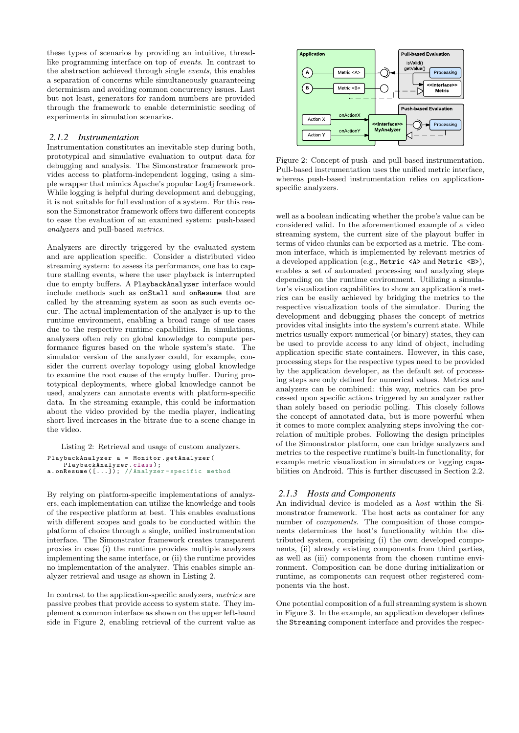these types of scenarios by providing an intuitive, threadlike programming interface on top of events. In contrast to the abstraction achieved through single events, this enables a separation of concerns while simultaneously guaranteeing determinism and avoiding common concurrency issues. Last but not least, generators for random numbers are provided through the framework to enable deterministic seeding of experiments in simulation scenarios.

#### *2.1.2 Instrumentation*

Instrumentation constitutes an inevitable step during both, prototypical and simulative evaluation to output data for debugging and analysis. The Simonstrator framework provides access to platform-independent logging, using a simple wrapper that mimics Apache's popular Log4j framework. While logging is helpful during development and debugging, it is not suitable for full evaluation of a system. For this reason the Simonstrator framework offers two different concepts to ease the evaluation of an examined system: push-based analyzers and pull-based metrics.

Analyzers are directly triggered by the evaluated system and are application specific. Consider a distributed video streaming system: to assess its performance, one has to capture stalling events, where the user playback is interrupted due to empty buffers. A PlaybackAnalyzer interface would include methods such as onStall and onResume that are called by the streaming system as soon as such events occur. The actual implementation of the analyzer is up to the runtime environment, enabling a broad range of use cases due to the respective runtime capabilities. In simulations, analyzers often rely on global knowledge to compute performance figures based on the whole system's state. The simulator version of the analyzer could, for example, consider the current overlay topology using global knowledge to examine the root cause of the empty buffer. During prototypical deployments, where global knowledge cannot be used, analyzers can annotate events with platform-specific data. In the streaming example, this could be information about the video provided by the media player, indicating short-lived increases in the bitrate due to a scene change in the video.

Listing 2: Retrieval and usage of custom analyzers.

|                          |  |  | PlaybackAnalyzer a = Monitor.getAnalyzer(  |  |
|--------------------------|--|--|--------------------------------------------|--|
| PlaybackAnalyzer.class); |  |  |                                            |  |
|                          |  |  | a.onResume([]); //Analyzer-specific method |  |

By relying on platform-specific implementations of analyzers, each implementation can utilize the knowledge and tools of the respective platform at best. This enables evaluations with different scopes and goals to be conducted within the platform of choice through a single, unified instrumentation interface. The Simonstrator framework creates transparent proxies in case (i) the runtime provides multiple analyzers implementing the same interface, or (ii) the runtime provides no implementation of the analyzer. This enables simple analyzer retrieval and usage as shown in Listing 2.

In contrast to the application-specific analyzers, metrics are passive probes that provide access to system state. They implement a common interface as shown on the upper left-hand side in Figure 2, enabling retrieval of the current value as



Figure 2: Concept of push- and pull-based instrumentation. Pull-based instrumentation uses the unified metric interface, whereas push-based instrumentation relies on applicationspecific analyzers.

well as a boolean indicating whether the probe's value can be considered valid. In the aforementioned example of a video streaming system, the current size of the playout buffer in terms of video chunks can be exported as a metric. The common interface, which is implemented by relevant metrics of a developed application (e.g., Metric <A> and Metric <B>), enables a set of automated processing and analyzing steps depending on the runtime environment. Utilizing a simulator's visualization capabilities to show an application's metrics can be easily achieved by bridging the metrics to the respective visualization tools of the simulator. During the development and debugging phases the concept of metrics provides vital insights into the system's current state. While metrics usually export numerical (or binary) states, they can be used to provide access to any kind of object, including application specific state containers. However, in this case, processing steps for the respective types need to be provided by the application developer, as the default set of processing steps are only defined for numerical values. Metrics and analyzers can be combined: this way, metrics can be processed upon specific actions triggered by an analyzer rather than solely based on periodic polling. This closely follows the concept of annotated data, but is more powerful when it comes to more complex analyzing steps involving the correlation of multiple probes. Following the design principles of the Simonstrator platform, one can bridge analyzers and metrics to the respective runtime's built-in functionality, for example metric visualization in simulators or logging capabilities on Android. This is further discussed in Section 2.2.

## *2.1.3 Hosts and Components*

An individual device is modeled as a host within the Simonstrator framework. The host acts as container for any number of components. The composition of those components determines the host's functionality within the distributed system, comprising (i) the own developed components, (ii) already existing components from third parties, as well as (iii) components from the chosen runtime environment. Composition can be done during initialization or runtime, as components can request other registered components via the host.

One potential composition of a full streaming system is shown in Figure 3. In the example, an application developer defines the Streaming component interface and provides the respec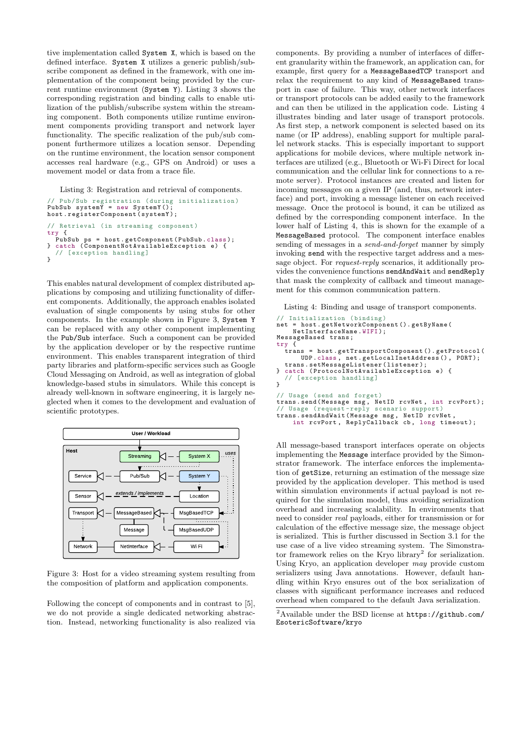tive implementation called System X, which is based on the defined interface. System X utilizes a generic publish/subscribe component as defined in the framework, with one implementation of the component being provided by the current runtime environment (System Y). Listing 3 shows the corresponding registration and binding calls to enable utilization of the publish/subscribe system within the streaming component. Both components utilize runtime environment components providing transport and network layer functionality. The specific realization of the pub/sub component furthermore utilizes a location sensor. Depending on the runtime environment, the location sensor component accesses real hardware (e.g., GPS on Android) or uses a movement model or data from a trace file.

Listing 3: Registration and retrieval of components.

```
// Pub/Sub registration ( during initialization )
PubSub systemY = new SystemY();
host . registerComponent ( systemY );
// Retrieval (in streaming component )
try {
PubSub ps = host . getComponent ( PubSub . class );
} catch ( ComponentNotAvailableException e) {
  // [exception handling]
}
```
This enables natural development of complex distributed applications by composing and utilizing functionality of different components. Additionally, the approach enables isolated evaluation of single components by using stubs for other components. In the example shown in Figure 3, System Y can be replaced with any other component implementing the Pub/Sub interface. Such a component can be provided by the application developer or by the respective runtime environment. This enables transparent integration of third party libraries and platform-specific services such as Google Cloud Messaging on Android, as well as integration of global knowledge-based stubs in simulators. While this concept is already well-known in software engineering, it is largely neglected when it comes to the development and evaluation of scientific prototypes.



Figure 3: Host for a video streaming system resulting from the composition of platform and application components.

Following the concept of components and in contrast to [5], we do not provide a single dedicated networking abstraction. Instead, networking functionality is also realized via

components. By providing a number of interfaces of different granularity within the framework, an application can, for example, first query for a MessageBasedTCP transport and relax the requirement to any kind of MessageBased transport in case of failure. This way, other network interfaces or transport protocols can be added easily to the framework and can then be utilized in the application code. Listing 4 illustrates binding and later usage of transport protocols. As first step, a network component is selected based on its name (or IP address), enabling support for multiple parallel network stacks. This is especially important to support applications for mobile devices, where multiple network interfaces are utilized (e.g., Bluetooth or Wi-Fi Direct for local communication and the cellular link for connections to a remote server). Protocol instances are created and listen for incoming messages on a given IP (and, thus, network interface) and port, invoking a message listener on each received message. Once the protocol is bound, it can be utilized as defined by the corresponding component interface. In the lower half of Listing 4, this is shown for the example of a MessageBased protocol. The component interface enables sending of messages in a send-and-forget manner by simply invoking send with the respective target address and a message object. For *request-reply* scenarios, it additionally provides the convenience functions sendAndWait and sendReply that mask the complexity of callback and timeout management for this common communication pattern.

Listing 4: Binding and usage of transport components.

```
// Initialization ( binding )
net = host . getNetworkComponent (). getByName (
     NetInterfaceName. WIFI);
MessageBased trans ;
try {
          = host.getTransportComponent ().getProtocol (
        UDP .class , net . getLocalInetAddress () , PORT );
  trans . setMessageListener ( listener );
} catch (ProtocolNotAvailableException e) {<br>// [exception handling]
      [exception handling]
}
// Usage ( send and forget )
trans.send (Message msg, NetID rcvNet, int rcvPort);<br>// Usage (request-reply scenario support)
trans . sendAndWait ( Message msg , NetID rcvNet ,
int rcvPort , ReplyCallback cb , long timeout );
```
All message-based transport interfaces operate on objects implementing the Message interface provided by the Simonstrator framework. The interface enforces the implementation of getSize, returning an estimation of the message size provided by the application developer. This method is used within simulation environments if actual payload is not required for the simulation model, thus avoiding serialization overhead and increasing scalability. In environments that need to consider real payloads, either for transmission or for calculation of the effective message size, the message object is serialized. This is further discussed in Section 3.1 for the use case of a live video streaming system. The Simonstrator framework relies on the Kryo library<sup>2</sup> for serialization. Using Kryo, an application developer may provide custom serializers using Java annotations. However, default handling within Kryo ensures out of the box serialization of classes with significant performance increases and reduced overhead when compared to the default Java serialization.

<sup>2</sup>Available under the BSD license at https://github.com/ EsotericSoftware/kryo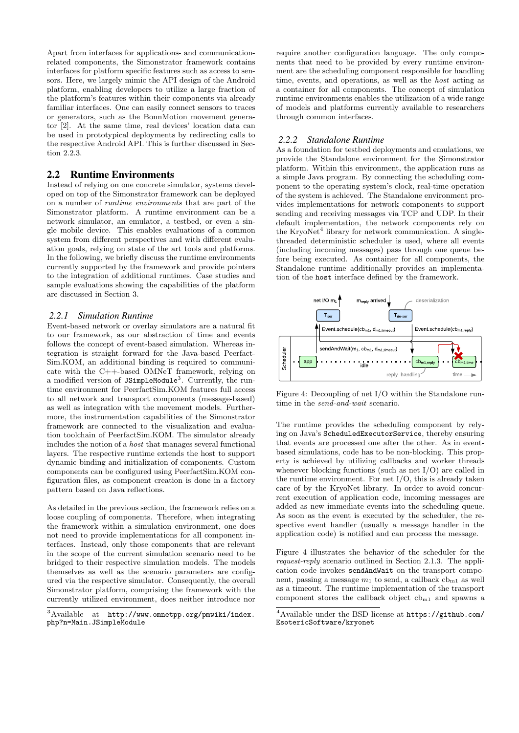Apart from interfaces for applications- and communicationrelated components, the Simonstrator framework contains interfaces for platform specific features such as access to sensors. Here, we largely mimic the API design of the Android platform, enabling developers to utilize a large fraction of the platform's features within their components via already familiar interfaces. One can easily connect sensors to traces or generators, such as the BonnMotion movement generator [2]. At the same time, real devices' location data can be used in prototypical deployments by redirecting calls to the respective Android API. This is further discussed in Section 2.2.3.

# 2.2 Runtime Environments

Instead of relying on one concrete simulator, systems developed on top of the Simonstrator framework can be deployed on a number of runtime environments that are part of the Simonstrator platform. A runtime environment can be a network simulator, an emulator, a testbed, or even a single mobile device. This enables evaluations of a common system from different perspectives and with different evaluation goals, relying on state of the art tools and platforms. In the following, we briefly discuss the runtime environments currently supported by the framework and provide pointers to the integration of additional runtimes. Case studies and sample evaluations showing the capabilities of the platform are discussed in Section 3.

#### *2.2.1 Simulation Runtime*

Event-based network or overlay simulators are a natural fit to our framework, as our abstraction of time and events follows the concept of event-based simulation. Whereas integration is straight forward for the Java-based Peerfact-Sim.KOM, an additional binding is required to communicate with the C++-based OMNeT framework, relying on a modified version of JSimpleModule<sup>3</sup>. Currently, the runtime environment for PeerfactSim.KOM features full access to all network and transport components (message-based) as well as integration with the movement models. Furthermore, the instrumentation capabilities of the Simonstrator framework are connected to the visualization and evaluation toolchain of PeerfactSim.KOM. The simulator already includes the notion of a host that manages several functional layers. The respective runtime extends the host to support dynamic binding and initialization of components. Custom components can be configured using PeerfactSim.KOM configuration files, as component creation is done in a factory pattern based on Java reflections.

As detailed in the previous section, the framework relies on a loose coupling of components. Therefore, when integrating the framework within a simulation environment, one does not need to provide implementations for all component interfaces. Instead, only those components that are relevant in the scope of the current simulation scenario need to be bridged to their respective simulation models. The models themselves as well as the scenario parameters are configured via the respective simulator. Consequently, the overall Simonstrator platform, comprising the framework with the currently utilized environment, does neither introduce nor

require another configuration language. The only components that need to be provided by every runtime environment are the scheduling component responsible for handling time, events, and operations, as well as the host acting as a container for all components. The concept of simulation runtime environments enables the utilization of a wide range of models and platforms currently available to researchers through common interfaces.

## *2.2.2 Standalone Runtime*

As a foundation for testbed deployments and emulations, we provide the Standalone environment for the Simonstrator platform. Within this environment, the application runs as a simple Java program. By connecting the scheduling component to the operating system's clock, real-time operation of the system is achieved. The Standalone environment provides implementations for network components to support sending and receiving messages via TCP and UDP. In their default implementation, the network components rely on the KryoNet<sup>4</sup> library for network communication. A singlethreaded deterministic scheduler is used, where all events (including incoming messages) pass through one queue before being executed. As container for all components, the Standalone runtime additionally provides an implementation of the host interface defined by the framework.



Figure 4: Decoupling of net I/O within the Standalone runtime in the send-and-wait scenario.

The runtime provides the scheduling component by relying on Java's ScheduledExecutorService, thereby ensuring that events are processed one after the other. As in eventbased simulations, code has to be non-blocking. This property is achieved by utilizing callbacks and worker threads whenever blocking functions (such as net I/O) are called in the runtime environment. For net I/O, this is already taken care of by the KryoNet library. In order to avoid concurrent execution of application code, incoming messages are added as new immediate events into the scheduling queue. As soon as the event is executed by the scheduler, the respective event handler (usually a message handler in the application code) is notified and can process the message.

Figure 4 illustrates the behavior of the scheduler for the request-reply scenario outlined in Section 2.1.3. The application code invokes sendAndWait on the transport component, passing a message  $m_1$  to send, a callback  $cb_{m1}$  as well as a timeout. The runtime implementation of the transport component stores the callback object  $cb_{m1}$  and spawns a

 $3$ Available at http://www.omnetpp.org/pmwiki/index. php?n=Main.JSimpleModule

<sup>4</sup>Available under the BSD license at https://github.com/ EsotericSoftware/kryonet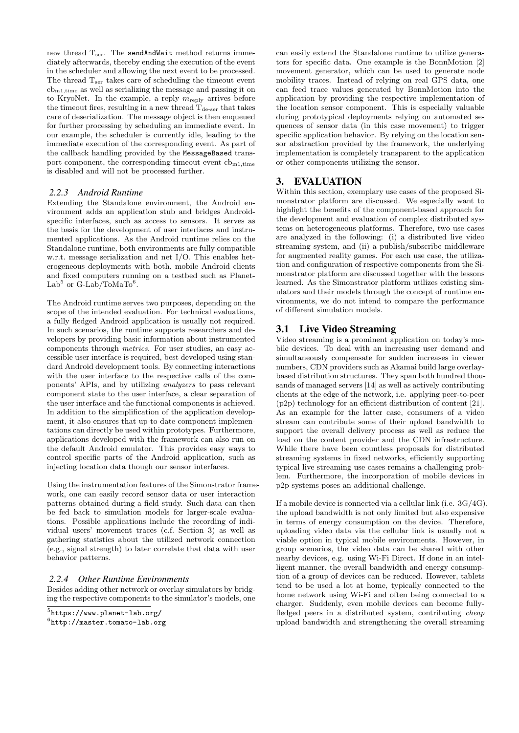new thread  $T_{ser}$ . The sendAndWait method returns immediately afterwards, thereby ending the execution of the event in the scheduler and allowing the next event to be processed. The thread  $T<sub>ser</sub>$  takes care of scheduling the timeout event cbm1,time as well as serializing the message and passing it on to KryoNet. In the example, a reply  $m_{\text{reply}}$  arrives before the timeout fires, resulting in a new thread  $T_{\text{de-}ser}$  that takes care of deserialization. The message object is then enqueued for further processing by scheduling an immediate event. In our example, the scheduler is currently idle, leading to the immediate execution of the corresponding event. As part of the callback handling provided by the MessageBased transport component, the corresponding timeout event  $cb_{m1,time}$ is disabled and will not be processed further.

#### *2.2.3 Android Runtime*

Extending the Standalone environment, the Android environment adds an application stub and bridges Androidspecific interfaces, such as access to sensors. It serves as the basis for the development of user interfaces and instrumented applications. As the Android runtime relies on the Standalone runtime, both environments are fully compatible w.r.t. message serialization and net I/O. This enables heterogeneous deployments with both, mobile Android clients and fixed computers running on a testbed such as Planet-Lab<sup>5</sup> or G-Lab/ToMaTo<sup>6</sup>.

The Android runtime serves two purposes, depending on the scope of the intended evaluation. For technical evaluations, a fully fledged Android application is usually not required. In such scenarios, the runtime supports researchers and developers by providing basic information about instrumented components through metrics. For user studies, an easy accessible user interface is required, best developed using standard Android development tools. By connecting interactions with the user interface to the respective calls of the components' APIs, and by utilizing analyzers to pass relevant component state to the user interface, a clear separation of the user interface and the functional components is achieved. In addition to the simplification of the application development, it also ensures that up-to-date component implementations can directly be used within prototypes. Furthermore, applications developed with the framework can also run on the default Android emulator. This provides easy ways to control specific parts of the Android application, such as injecting location data though our sensor interfaces.

Using the instrumentation features of the Simonstrator framework, one can easily record sensor data or user interaction patterns obtained during a field study. Such data can then be fed back to simulation models for larger-scale evaluations. Possible applications include the recording of individual users' movement traces (c.f. Section 3) as well as gathering statistics about the utilized network connection (e.g., signal strength) to later correlate that data with user behavior patterns.

#### *2.2.4 Other Runtime Environments*

Besides adding other network or overlay simulators by bridging the respective components to the simulator's models, one

can easily extend the Standalone runtime to utilize generators for specific data. One example is the BonnMotion [2] movement generator, which can be used to generate node mobility traces. Instead of relying on real GPS data, one can feed trace values generated by BonnMotion into the application by providing the respective implementation of the location sensor component. This is especially valuable during prototypical deployments relying on automated sequences of sensor data (in this case movement) to trigger specific application behavior. By relying on the location sensor abstraction provided by the framework, the underlying implementation is completely transparent to the application or other components utilizing the sensor.

# 3. EVALUATION

Within this section, exemplary use cases of the proposed Simonstrator platform are discussed. We especially want to highlight the benefits of the component-based approach for the development and evaluation of complex distributed systems on heterogeneous platforms. Therefore, two use cases are analyzed in the following: (i) a distributed live video streaming system, and (ii) a publish/subscribe middleware for augmented reality games. For each use case, the utilization and configuration of respective components from the Simonstrator platform are discussed together with the lessons learned. As the Simonstrator platform utilizes existing simulators and their models through the concept of runtime environments, we do not intend to compare the performance of different simulation models.

## 3.1 Live Video Streaming

Video streaming is a prominent application on today's mobile devices. To deal with an increasing user demand and simultaneously compensate for sudden increases in viewer numbers, CDN providers such as Akamai build large overlaybased distribution structures. They span both hundred thousands of managed servers [14] as well as actively contributing clients at the edge of the network, i.e. applying peer-to-peer (p2p) technology for an efficient distribution of content [21]. As an example for the latter case, consumers of a video stream can contribute some of their upload bandwidth to support the overall delivery process as well as reduce the load on the content provider and the CDN infrastructure. While there have been countless proposals for distributed streaming systems in fixed networks, efficiently supporting typical live streaming use cases remains a challenging problem. Furthermore, the incorporation of mobile devices in p2p systems poses an additional challenge.

If a mobile device is connected via a cellular link (i.e. 3G/4G), the upload bandwidth is not only limited but also expensive in terms of energy consumption on the device. Therefore, uploading video data via the cellular link is usually not a viable option in typical mobile environments. However, in group scenarios, the video data can be shared with other nearby devices, e.g. using Wi-Fi Direct. If done in an intelligent manner, the overall bandwidth and energy consumption of a group of devices can be reduced. However, tablets tend to be used a lot at home, typically connected to the home network using Wi-Fi and often being connected to a charger. Suddenly, even mobile devices can become fullyfledged peers in a distributed system, contributing *cheap* upload bandwidth and strengthening the overall streaming

<sup>5</sup> https://www.planet-lab.org/

 ${}^{6}$ http://master.tomato-lab.org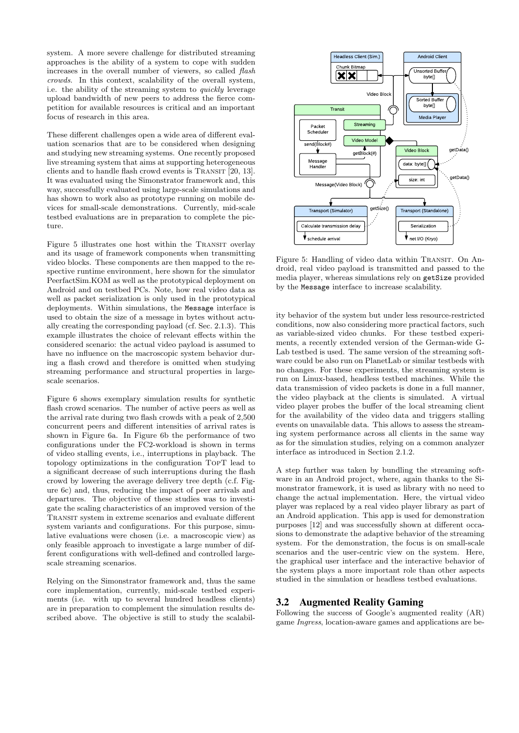system. A more severe challenge for distributed streaming approaches is the ability of a system to cope with sudden increases in the overall number of viewers, so called flash crowds. In this context, scalability of the overall system, i.e. the ability of the streaming system to quickly leverage upload bandwidth of new peers to address the fierce competition for available resources is critical and an important focus of research in this area.

These different challenges open a wide area of different evaluation scenarios that are to be considered when designing and studying new streaming systems. One recently proposed live streaming system that aims at supporting heterogeneous clients and to handle flash crowd events is TRANSIT [20, 13]. It was evaluated using the Simonstrator framework and, this way, successfully evaluated using large-scale simulations and has shown to work also as prototype running on mobile devices for small-scale demonstrations. Currently, mid-scale testbed evaluations are in preparation to complete the picture.

Figure 5 illustrates one host within the TRANSIT overlay and its usage of framework components when transmitting video blocks. These components are then mapped to the respective runtime environment, here shown for the simulator PeerfactSim.KOM as well as the prototypical deployment on Android and on testbed PCs. Note, how real video data as well as packet serialization is only used in the prototypical deployments. Within simulations, the Message interface is used to obtain the size of a message in bytes without actually creating the corresponding payload (cf. Sec. 2.1.3). This example illustrates the choice of relevant effects within the considered scenario: the actual video payload is assumed to have no influence on the macroscopic system behavior during a flash crowd and therefore is omitted when studying streaming performance and structural properties in largescale scenarios.

Figure 6 shows exemplary simulation results for synthetic flash crowd scenarios. The number of active peers as well as the arrival rate during two flash crowds with a peak of 2,500 concurrent peers and different intensities of arrival rates is shown in Figure 6a. In Figure 6b the performance of two configurations under the FC2-workload is shown in terms of video stalling events, i.e., interruptions in playback. The topology optimizations in the configuration TopT lead to a significant decrease of such interruptions during the flash crowd by lowering the average delivery tree depth (c.f. Figure 6c) and, thus, reducing the impact of peer arrivals and departures. The objective of these studies was to investigate the scaling characteristics of an improved version of the Transit system in extreme scenarios and evaluate different system variants and configurations. For this purpose, simulative evaluations were chosen (i.e. a macroscopic view) as only feasible approach to investigate a large number of different configurations with well-defined and controlled largescale streaming scenarios.

Relying on the Simonstrator framework and, thus the same core implementation, currently, mid-scale testbed experiments (i.e. with up to several hundred headless clients) are in preparation to complement the simulation results described above. The objective is still to study the scalabil-



Figure 5: Handling of video data within TRANSIT. On Android, real video payload is transmitted and passed to the media player, whereas simulations rely on getSize provided by the Message interface to increase scalability.

ity behavior of the system but under less resource-restricted conditions, now also considering more practical factors, such as variable-sized video chunks. For these testbed experiments, a recently extended version of the German-wide G-Lab testbed is used. The same version of the streaming software could be also run on PlanetLab or similar testbeds with no changes. For these experiments, the streaming system is run on Linux-based, headless testbed machines. While the data transmission of video packets is done in a full manner, the video playback at the clients is simulated. A virtual video player probes the buffer of the local streaming client for the availability of the video data and triggers stalling events on unavailable data. This allows to assess the streaming system performance across all clients in the same way as for the simulation studies, relying on a common analyzer interface as introduced in Section 2.1.2.

A step further was taken by bundling the streaming software in an Android project, where, again thanks to the Simonstrator framework, it is used as library with no need to change the actual implementation. Here, the virtual video player was replaced by a real video player library as part of an Android application. This app is used for demonstration purposes [12] and was successfully shown at different occasions to demonstrate the adaptive behavior of the streaming system. For the demonstration, the focus is on small-scale scenarios and the user-centric view on the system. Here, the graphical user interface and the interactive behavior of the system plays a more important role than other aspects studied in the simulation or headless testbed evaluations.

# 3.2 Augmented Reality Gaming

Following the success of Google's augmented reality (AR) game Ingress, location-aware games and applications are be-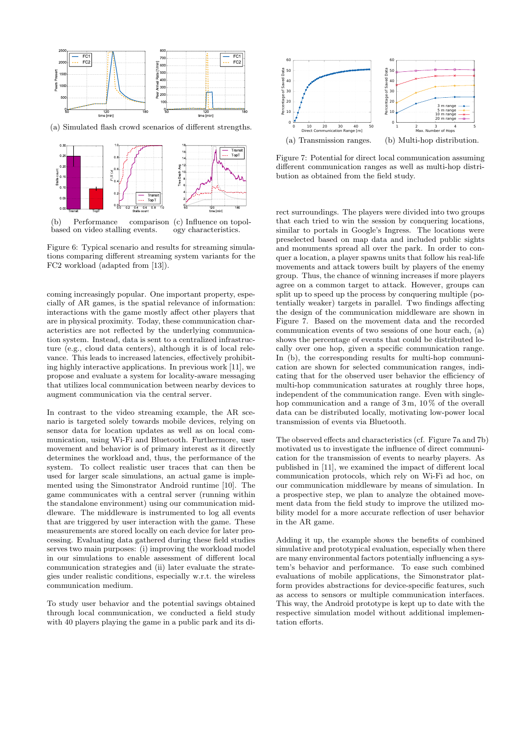

(a) Simulated flash crowd scenarios of different strengths.



(b) Performance based on video stalling events. comparison (c) Influence on topology characteristics.

Figure 6: Typical scenario and results for streaming simulations comparing different streaming system variants for the FC2 workload (adapted from [13]).

coming increasingly popular. One important property, especially of AR games, is the spatial relevance of information: interactions with the game mostly affect other players that are in physical proximity. Today, these communication characteristics are not reflected by the underlying communication system. Instead, data is sent to a centralized infrastructure (e.g., cloud data centers), although it is of local relevance. This leads to increased latencies, effectively prohibiting highly interactive applications. In previous work [11], we propose and evaluate a system for locality-aware messaging that utilizes local communication between nearby devices to augment communication via the central server.

In contrast to the video streaming example, the AR scenario is targeted solely towards mobile devices, relying on sensor data for location updates as well as on local communication, using Wi-Fi and Bluetooth. Furthermore, user movement and behavior is of primary interest as it directly determines the workload and, thus, the performance of the system. To collect realistic user traces that can then be used for larger scale simulations, an actual game is implemented using the Simonstrator Android runtime [10]. The game communicates with a central server (running within the standalone environment) using our communication middleware. The middleware is instrumented to log all events that are triggered by user interaction with the game. These measurements are stored locally on each device for later processing. Evaluating data gathered during these field studies serves two main purposes: (i) improving the workload model in our simulations to enable assessment of different local communication strategies and (ii) later evaluate the strategies under realistic conditions, especially w.r.t. the wireless communication medium.

To study user behavior and the potential savings obtained through local communication, we conducted a field study with 40 players playing the game in a public park and its di-



Figure 7: Potential for direct local communication assuming different communication ranges as well as multi-hop distribution as obtained from the field study.

rect surroundings. The players were divided into two groups that each tried to win the session by conquering locations, similar to portals in Google's Ingress. The locations were preselected based on map data and included public sights and monuments spread all over the park. In order to conquer a location, a player spawns units that follow his real-life movements and attack towers built by players of the enemy group. Thus, the chance of winning increases if more players agree on a common target to attack. However, groups can split up to speed up the process by conquering multiple (potentially weaker) targets in parallel. Two findings affecting the design of the communication middleware are shown in Figure 7. Based on the movement data and the recorded communication events of two sessions of one hour each, (a) shows the percentage of events that could be distributed locally over one hop, given a specific communication range. In (b), the corresponding results for multi-hop communication are shown for selected communication ranges, indicating that for the observed user behavior the efficiency of multi-hop communication saturates at roughly three hops, independent of the communication range. Even with singlehop communication and a range of  $3 \text{ m}$ ,  $10\%$  of the overall data can be distributed locally, motivating low-power local transmission of events via Bluetooth.

The observed effects and characteristics (cf. Figure 7a and 7b) motivated us to investigate the influence of direct communication for the transmission of events to nearby players. As published in [11], we examined the impact of different local communication protocols, which rely on Wi-Fi ad hoc, on our communication middleware by means of simulation. In a prospective step, we plan to analyze the obtained movement data from the field study to improve the utilized mobility model for a more accurate reflection of user behavior in the AR game.

Adding it up, the example shows the benefits of combined simulative and prototypical evaluation, especially when there are many environmental factors potentially influencing a system's behavior and performance. To ease such combined evaluations of mobile applications, the Simonstrator platform provides abstractions for device-specific features, such as access to sensors or multiple communication interfaces. This way, the Android prototype is kept up to date with the respective simulation model without additional implementation efforts.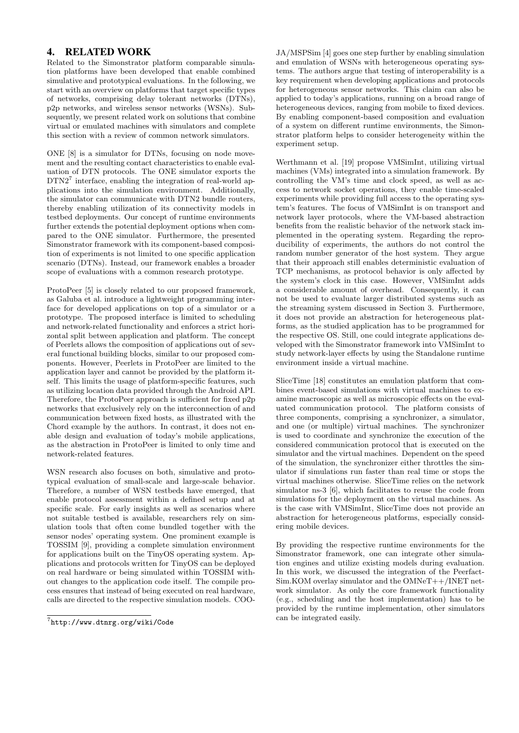# 4. RELATED WORK

Related to the Simonstrator platform comparable simulation platforms have been developed that enable combined simulative and prototypical evaluations. In the following, we start with an overview on platforms that target specific types of networks, comprising delay tolerant networks (DTNs), p2p networks, and wireless sensor networks (WSNs). Subsequently, we present related work on solutions that combine virtual or emulated machines with simulators and complete this section with a review of common network simulators.

ONE [8] is a simulator for DTNs, focusing on node movement and the resulting contact characteristics to enable evaluation of DTN protocols. The ONE simulator exports the DTN2<sup>7</sup> interface, enabling the integration of real-world applications into the simulation environment. Additionally, the simulator can communicate with DTN2 bundle routers, thereby enabling utilization of its connectivity models in testbed deployments. Our concept of runtime environments further extends the potential deployment options when compared to the ONE simulator. Furthermore, the presented Simonstrator framework with its component-based composition of experiments is not limited to one specific application scenario (DTNs). Instead, our framework enables a broader scope of evaluations with a common research prototype.

ProtoPeer [5] is closely related to our proposed framework, as Galuba et al. introduce a lightweight programming interface for developed applications on top of a simulator or a prototype. The proposed interface is limited to scheduling and network-related functionality and enforces a strict horizontal split between application and platform. The concept of Peerlets allows the composition of applications out of several functional building blocks, similar to our proposed components. However, Peerlets in ProtoPeer are limited to the application layer and cannot be provided by the platform itself. This limits the usage of platform-specific features, such as utilizing location data provided through the Android API. Therefore, the ProtoPeer approach is sufficient for fixed p2p networks that exclusively rely on the interconnection of and communication between fixed hosts, as illustrated with the Chord example by the authors. In contrast, it does not enable design and evaluation of today's mobile applications, as the abstraction in ProtoPeer is limited to only time and network-related features.

WSN research also focuses on both, simulative and prototypical evaluation of small-scale and large-scale behavior. Therefore, a number of WSN testbeds have emerged, that enable protocol assessment within a defined setup and at specific scale. For early insights as well as scenarios where not suitable testbed is available, researchers rely on simulation tools that often come bundled together with the sensor nodes' operating system. One prominent example is TOSSIM [9], providing a complete simulation environment for applications built on the TinyOS operating system. Applications and protocols written for TinyOS can be deployed on real hardware or being simulated within TOSSIM without changes to the application code itself. The compile process ensures that instead of being executed on real hardware, calls are directed to the respective simulation models. COO-

JA/MSPSim [4] goes one step further by enabling simulation and emulation of WSNs with heterogeneous operating systems. The authors argue that testing of interoperability is a key requirement when developing applications and protocols for heterogeneous sensor networks. This claim can also be applied to today's applications, running on a broad range of heterogeneous devices, ranging from mobile to fixed devices. By enabling component-based composition and evaluation of a system on different runtime environments, the Simonstrator platform helps to consider heterogeneity within the experiment setup.

Werthmann et al. [19] propose VMSimInt, utilizing virtual machines (VMs) integrated into a simulation framework. By controlling the VM's time and clock speed, as well as access to network socket operations, they enable time-scaled experiments while providing full access to the operating system's features. The focus of VMSimInt is on transport and network layer protocols, where the VM-based abstraction benefits from the realistic behavior of the network stack implemented in the operating system. Regarding the reproducibility of experiments, the authors do not control the random number generator of the host system. They argue that their approach still enables deterministic evaluation of TCP mechanisms, as protocol behavior is only affected by the system's clock in this case. However, VMSimInt adds a considerable amount of overhead. Consequently, it can not be used to evaluate larger distributed systems such as the streaming system discussed in Section 3. Furthermore, it does not provide an abstraction for heterogeneous platforms, as the studied application has to be programmed for the respective OS. Still, one could integrate applications developed with the Simonstrator framework into VMSimInt to study network-layer effects by using the Standalone runtime environment inside a virtual machine.

SliceTime [18] constitutes an emulation platform that combines event-based simulations with virtual machines to examine macroscopic as well as microscopic effects on the evaluated communication protocol. The platform consists of three components, comprising a synchronizer, a simulator, and one (or multiple) virtual machines. The synchronizer is used to coordinate and synchronize the execution of the considered communication protocol that is executed on the simulator and the virtual machines. Dependent on the speed of the simulation, the synchronizer either throttles the simulator if simulations run faster than real time or stops the virtual machines otherwise. SliceTime relies on the network simulator ns-3 [6], which facilitates to reuse the code from simulations for the deployment on the virtual machines. As is the case with VMSimInt, SliceTime does not provide an abstraction for heterogeneous platforms, especially considering mobile devices.

By providing the respective runtime environments for the Simonstrator framework, one can integrate other simulation engines and utilize existing models during evaluation. In this work, we discussed the integration of the Peerfact-Sim.KOM overlay simulator and the OMNeT++/INET network simulator. As only the core framework functionality (e.g., scheduling and the host implementation) has to be provided by the runtime implementation, other simulators can be integrated easily.

<sup>7</sup> http://www.dtnrg.org/wiki/Code